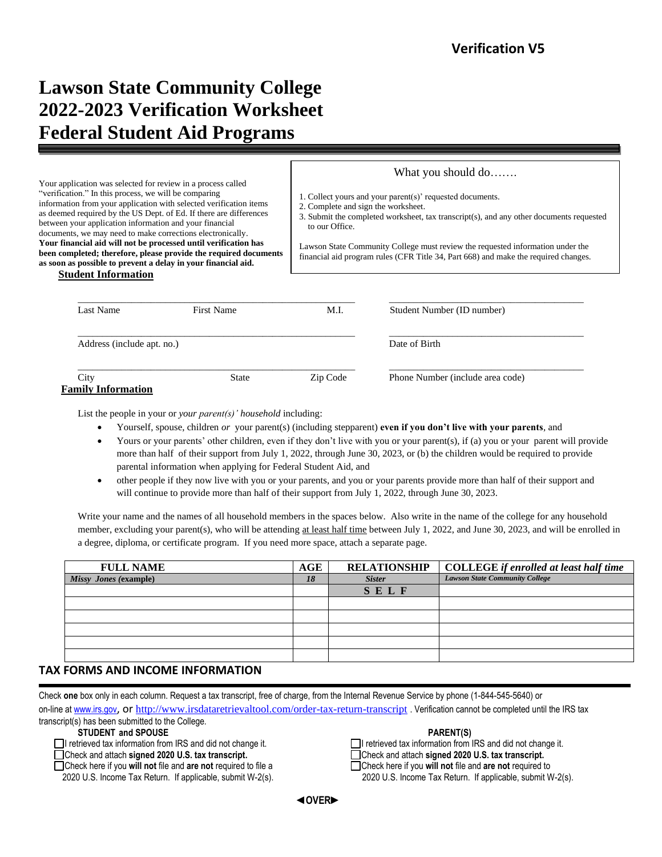# **Lawson State Community College 2022-2023 Verification Worksheet Federal Student Aid Programs**

Your application was selected for review in a process called "verification." In this process, we will be comparing information from your application with selected verification items as deemed required by the US Dept. of Ed. If there are differences between your application information and your financial documents, we may need to make corrections electronically. **Your financial aid will not be processed until verification has been completed; therefore, please provide the required documents as soon as possible to prevent a delay in your financial aid.**

What you should do…….

1. Collect yours and your parent(s)' requested documents.

2. Complete and sign the worksheet.

3. Submit the completed worksheet, tax transcript(s), and any other documents requested to our Office.

Lawson State Community College must review the requested information under the financial aid program rules (CFR Title 34, Part 668) and make the required changes.

| <b>Student Information</b> |
|----------------------------|
|                            |

| Last Name                  | First Name   | M.I.     | Student Number (ID number)       |
|----------------------------|--------------|----------|----------------------------------|
| Address (include apt. no.) |              |          | Date of Birth                    |
| City                       | <b>State</b> | Zip Code | Phone Number (include area code) |

List the people in your or *your parent(s)' household* including:

- Yourself, spouse, children *or* your parent(s) (including stepparent) **even if you don't live with your parents**, and
- Yours or your parents' other children, even if they don't live with you or your parent(s), if (a) you or your parent will provide more than half of their support from July 1, 2022, through June 30, 2023, or (b) the children would be required to provide parental information when applying for Federal Student Aid, and
- other people if they now live with you or your parents, and you or your parents provide more than half of their support and will continue to provide more than half of their support from July 1, 2022, through June 30, 2023.

Write your name and the names of all household members in the spaces below. Also write in the name of the college for any household member, excluding your parent(s), who will be attending at least half time between July 1, 2022, and June 30, 2023, and will be enrolled in a degree, diploma, or certificate program. If you need more space, attach a separate page.

| <b>FULL NAME</b>      | AGE | <b>RELATIONSHIP</b> | <b>COLLEGE</b> if enrolled at least half time |
|-----------------------|-----|---------------------|-----------------------------------------------|
| Missy Jones (example) | 18  | <b>Sister</b>       | <b>Lawson State Community College</b>         |
|                       |     | SELF                |                                               |
|                       |     |                     |                                               |
|                       |     |                     |                                               |
|                       |     |                     |                                               |
|                       |     |                     |                                               |
|                       |     |                     |                                               |

### **TAX FORMS AND INCOME INFORMATION**

 Check **one** box only in each column. Request a tax transcript, free of charge, from the Internal Revenue Service by phone (1-844-545-5640) or on-line a[t www.irs.gov](http://www.irs.gov/), Or <http://www.irsdataretrievaltool.com/order-tax-return-transcript></u> . Verification cannot be completed until the IRS tax transcript(s) has been submitted to the College.

**STUDENT** and **SPOUSE**<br> **PARENT(S)**<br> **PARENT(S)**<br> **PARENT(S)**<br> **PERENT(S)**<br> **PERENT(S)**<br> **PERENT(S)** 

2020 U.S. Income Tax Return. If applicable, submit W-2(s). 2020 U.S. Income Tax Return. If applicable, submit W-2(s).

 $\Box$ I retrieved tax information from IRS and did not change it. Check and attach **signed 2020 U.S. tax transcript.** Check and attach **signed 2020 U.S. tax transcript.** Check here if you **will not** file and **are not** required to file a Check here if you **will not** file and **are not** required to

 **◄OVER►**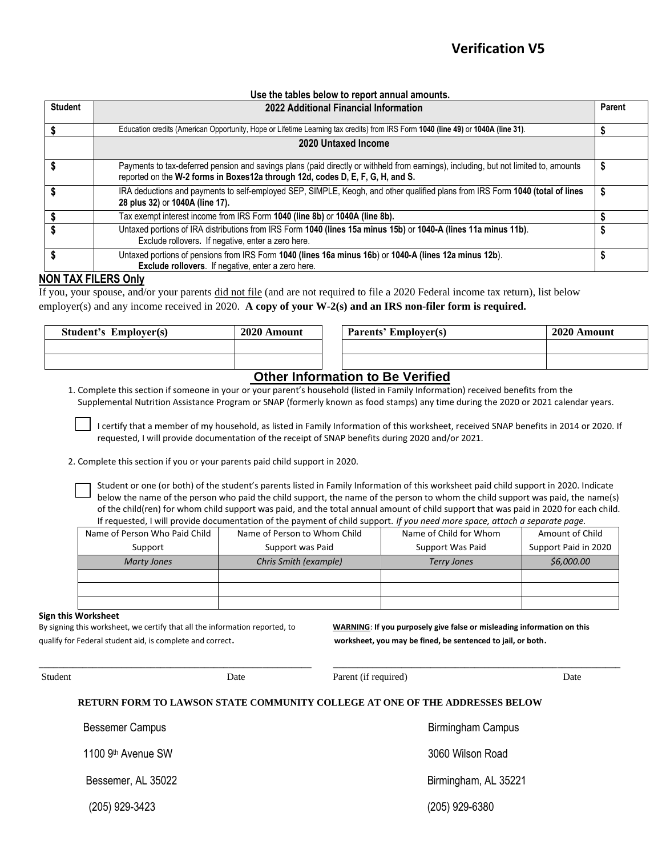### **Use the tables below to report annual amounts.**

| <b>Student</b> | 2022 Additional Financial Information                                                                                                                                                                                  | Parent |
|----------------|------------------------------------------------------------------------------------------------------------------------------------------------------------------------------------------------------------------------|--------|
|                | Education credits (American Opportunity, Hope or Lifetime Learning tax credits) from IRS Form 1040 (line 49) or 1040A (line 31).                                                                                       |        |
|                | 2020 Untaxed Income                                                                                                                                                                                                    |        |
|                | Payments to tax-deferred pension and savings plans (paid directly or withheld from earnings), including, but not limited to, amounts<br>reported on the W-2 forms in Boxes12a through 12d, codes D, E, F, G, H, and S. |        |
|                | IRA deductions and payments to self-employed SEP, SIMPLE, Keogh, and other qualified plans from IRS Form 1040 (total of lines<br>28 plus 32) or 1040A (line 17).                                                       |        |
|                | Tax exempt interest income from IRS Form 1040 (line 8b) or 1040A (line 8b).                                                                                                                                            |        |
|                | Untaxed portions of IRA distributions from IRS Form 1040 (lines 15a minus 15b) or 1040-A (lines 11a minus 11b).<br>Exclude rollovers. If negative, enter a zero here.                                                  |        |
|                | Untaxed portions of pensions from IRS Form 1040 (lines 16a minus 16b) or 1040-A (lines 12a minus 12b).<br>Exclude rollovers. If negative, enter a zero here.                                                           |        |

### **NON TAX FILERS Only**

If you, your spouse, and/or your parents did not file (and are not required to file a 2020 Federal income tax return), list below employer(s) and any income received in 2020. **A copy of your W-2(s) and an IRS non-filer form is required.**

| <b>Student's Employer(s)</b> | 2020 Amount | <b>Parents' Employer(s)</b>                      | 2020 Amount |
|------------------------------|-------------|--------------------------------------------------|-------------|
|                              |             |                                                  |             |
|                              |             |                                                  |             |
|                              |             | $\sim$ $\sim$ $\sim$ $\sim$ $\sim$ $\sim$ $\sim$ |             |

# **Other Information to Be Verified**

1. Complete this section if someone in your or your parent's household (listed in Family Information) received benefits from the Supplemental Nutrition Assistance Program or SNAP (formerly known as food stamps) any time during the 2020 or 2021 calendar years.

I certify that a member of my household, as listed in Family Information of this worksheet, received SNAP benefits in 2014 or 2020. If requested, I will provide documentation of the receipt of SNAP benefits during 2020 and/or 2021.

2. Complete this section if you or your parents paid child support in 2020.

Student or one (or both) of the student's parents listed in Family Information of this worksheet paid child support in 2020. Indicate below the name of the person who paid the child support, the name of the person to whom the child support was paid, the name(s) of the child(ren) for whom child support was paid, and the total annual amount of child support that was paid in 2020 for each child. If requested, I will provide documentation of the payment of child support. *If you need more space, attach a separate page.*

| Name of Person Who Paid Child | Name of Person to Whom Child | Name of Child for Whom | Amount of Child      |
|-------------------------------|------------------------------|------------------------|----------------------|
| Support                       | Support was Paid             | Support Was Paid       | Support Paid in 2020 |
| Marty Jones                   | Chris Smith (example)        | <b>Terry Jones</b>     | \$6,000.00           |
|                               |                              |                        |                      |
|                               |                              |                        |                      |
|                               |                              |                        |                      |

### **Sign this Worksheet**

By signing this worksheet, we certify that all the information reported, to **WARNING**: **If you purposely give false or misleading information on this** qualify for Federal student aid, is complete and correct. **worksheet, you may be fined, be sentenced to jail, or both**.

| Student |                                | Date | Parent (if required)                                                        | Date |
|---------|--------------------------------|------|-----------------------------------------------------------------------------|------|
|         |                                |      | RETURN FORM TO LAWSON STATE COMMUNITY COLLEGE AT ONE OF THE ADDRESSES BELOW |      |
|         | <b>Bessemer Campus</b>         |      | <b>Birmingham Campus</b>                                                    |      |
|         | 1100 9 <sup>th</sup> Avenue SW |      | 3060 Wilson Road                                                            |      |
|         | Bessemer, AL 35022             |      | Birmingham, AL 35221                                                        |      |
|         | (205) 929-3423                 |      | (205) 929-6380                                                              |      |

 $\_$  ,  $\_$  ,  $\_$  ,  $\_$  ,  $\_$  ,  $\_$  ,  $\_$  ,  $\_$  ,  $\_$  ,  $\_$  ,  $\_$  ,  $\_$  ,  $\_$  ,  $\_$  ,  $\_$  ,  $\_$  ,  $\_$  ,  $\_$  ,  $\_$  ,  $\_$  ,  $\_$  ,  $\_$  ,  $\_$  ,  $\_$  ,  $\_$  ,  $\_$  ,  $\_$  ,  $\_$  ,  $\_$  ,  $\_$  ,  $\_$  ,  $\_$  ,  $\_$  ,  $\_$  ,  $\_$  ,  $\_$  ,  $\_$  ,